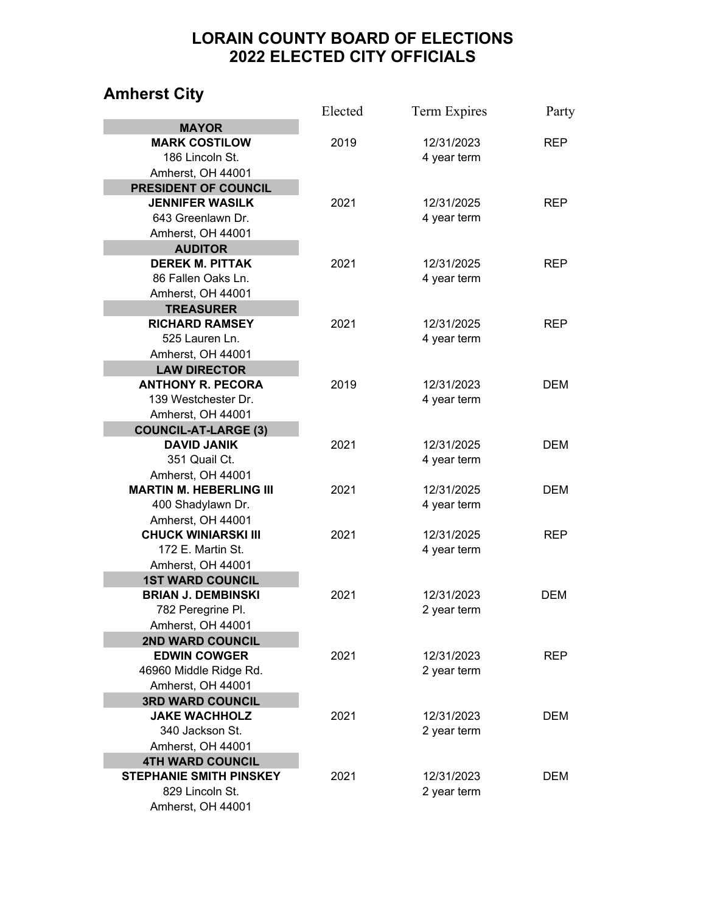#### **LORAIN COUNTY BOARD OF ELECTIONS 2022 ELECTED CITY OFFICIALS**

## **Amherst City**

|                                                 | Elected | Term Expires | Party      |
|-------------------------------------------------|---------|--------------|------------|
| <b>MAYOR</b>                                    |         |              |            |
| <b>MARK COSTILOW</b>                            | 2019    | 12/31/2023   | <b>REP</b> |
| 186 Lincoln St.                                 |         | 4 year term  |            |
| Amherst, OH 44001                               |         |              |            |
| PRESIDENT OF COUNCIL                            |         |              |            |
| <b>JENNIFER WASILK</b>                          | 2021    | 12/31/2025   | <b>REP</b> |
| 643 Greenlawn Dr.                               |         | 4 year term  |            |
| Amherst, OH 44001                               |         |              |            |
| <b>AUDITOR</b>                                  |         |              |            |
| <b>DEREK M. PITTAK</b>                          | 2021    | 12/31/2025   | <b>REP</b> |
| 86 Fallen Oaks Ln.                              |         | 4 year term  |            |
| Amherst, OH 44001                               |         |              |            |
| <b>TREASURER</b>                                |         |              |            |
| <b>RICHARD RAMSEY</b>                           | 2021    | 12/31/2025   | <b>REP</b> |
| 525 Lauren Ln.                                  |         | 4 year term  |            |
| Amherst, OH 44001                               |         |              |            |
| <b>LAW DIRECTOR</b>                             |         |              |            |
| <b>ANTHONY R. PECORA</b>                        | 2019    | 12/31/2023   | <b>DEM</b> |
| 139 Westchester Dr.                             |         | 4 year term  |            |
| Amherst, OH 44001                               |         |              |            |
| <b>COUNCIL-AT-LARGE (3)</b>                     |         |              |            |
| <b>DAVID JANIK</b>                              | 2021    | 12/31/2025   | <b>DEM</b> |
| 351 Quail Ct.                                   |         | 4 year term  |            |
| Amherst, OH 44001                               |         |              |            |
| <b>MARTIN M. HEBERLING III</b>                  | 2021    | 12/31/2025   | <b>DEM</b> |
| 400 Shadylawn Dr.                               |         | 4 year term  |            |
| Amherst, OH 44001<br><b>CHUCK WINIARSKI III</b> | 2021    |              |            |
| 172 E. Martin St.                               |         | 12/31/2025   | <b>REP</b> |
| Amherst, OH 44001                               |         | 4 year term  |            |
| <b>1ST WARD COUNCIL</b>                         |         |              |            |
| <b>BRIAN J. DEMBINSKI</b>                       | 2021    | 12/31/2023   | <b>DEM</b> |
| 782 Peregrine Pl.                               |         | 2 year term  |            |
| Amherst, OH 44001                               |         |              |            |
| <b>2ND WARD COUNCIL</b>                         |         |              |            |
| <b>EDWIN COWGER</b>                             | 2021    | 12/31/2023   | <b>REP</b> |
| 46960 Middle Ridge Rd.                          |         | 2 year term  |            |
| Amherst, OH 44001                               |         |              |            |
| <b>3RD WARD COUNCIL</b>                         |         |              |            |
| <b>JAKE WACHHOLZ</b>                            | 2021    | 12/31/2023   | <b>DEM</b> |
| 340 Jackson St.                                 |         | 2 year term  |            |
| Amherst, OH 44001                               |         |              |            |
| <b>4TH WARD COUNCIL</b>                         |         |              |            |
| <b>STEPHANIE SMITH PINSKEY</b>                  | 2021    | 12/31/2023   | <b>DEM</b> |
| 829 Lincoln St.                                 |         | 2 year term  |            |
| Amherst, OH 44001                               |         |              |            |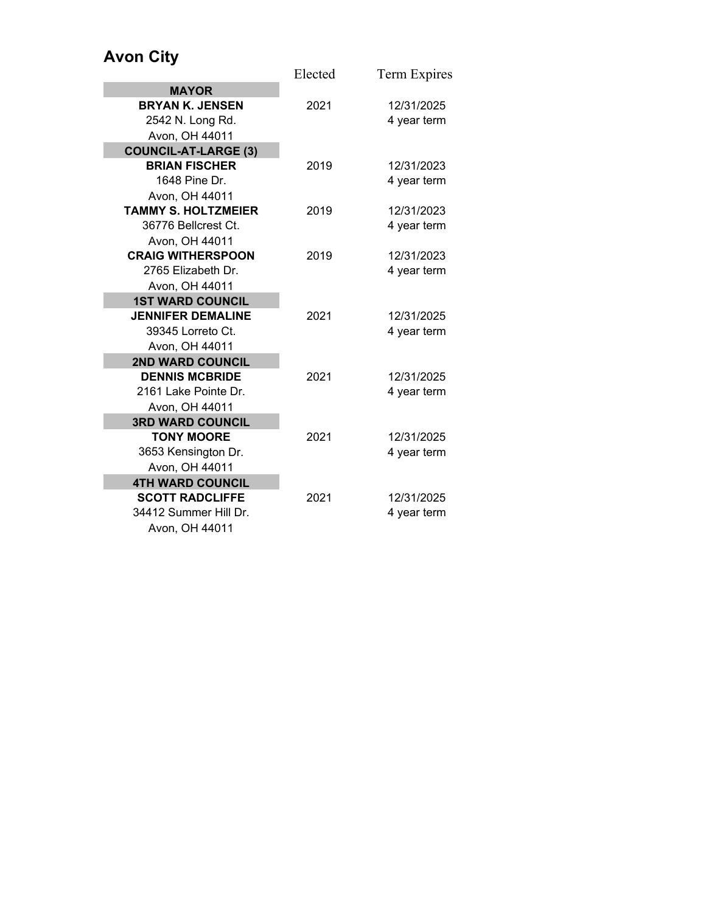#### **Avon City**

|                             | Elected | Term Expires |  |
|-----------------------------|---------|--------------|--|
| <b>MAYOR</b>                |         |              |  |
| <b>BRYAN K. JENSEN</b>      | 2021    | 12/31/2025   |  |
| 2542 N. Long Rd.            |         | 4 year term  |  |
| Avon, OH 44011              |         |              |  |
| <b>COUNCIL-AT-LARGE (3)</b> |         |              |  |
| <b>BRIAN FISCHER</b>        | 2019    | 12/31/2023   |  |
| 1648 Pine Dr.               |         | 4 year term  |  |
| Avon, OH 44011              |         |              |  |
| <b>TAMMY S. HOLTZMEIER</b>  | 2019    | 12/31/2023   |  |
| 36776 Bellcrest Ct.         |         | 4 year term  |  |
| Avon, OH 44011              |         |              |  |
| <b>CRAIG WITHERSPOON</b>    | 2019    | 12/31/2023   |  |
| 2765 Elizabeth Dr.          |         | 4 year term  |  |
| Avon, OH 44011              |         |              |  |
| <b>1ST WARD COUNCIL</b>     |         |              |  |
| <b>JENNIFER DEMALINE</b>    | 2021    | 12/31/2025   |  |
| 39345 Lorreto Ct.           |         | 4 year term  |  |
| Avon, OH 44011              |         |              |  |
| <b>2ND WARD COUNCIL</b>     |         |              |  |
| <b>DENNIS MCBRIDE</b>       | 2021    | 12/31/2025   |  |
| 2161 Lake Pointe Dr.        |         | 4 year term  |  |
| Avon, OH 44011              |         |              |  |
| <b>3RD WARD COUNCIL</b>     |         |              |  |
| <b>TONY MOORE</b>           | 2021    | 12/31/2025   |  |
| 3653 Kensington Dr.         |         | 4 year term  |  |
| Avon, OH 44011              |         |              |  |
| <b>4TH WARD COUNCIL</b>     |         |              |  |
| <b>SCOTT RADCLIFFE</b>      | 2021    | 12/31/2025   |  |
| 34412 Summer Hill Dr.       |         | 4 year term  |  |
| Avon, OH 44011              |         |              |  |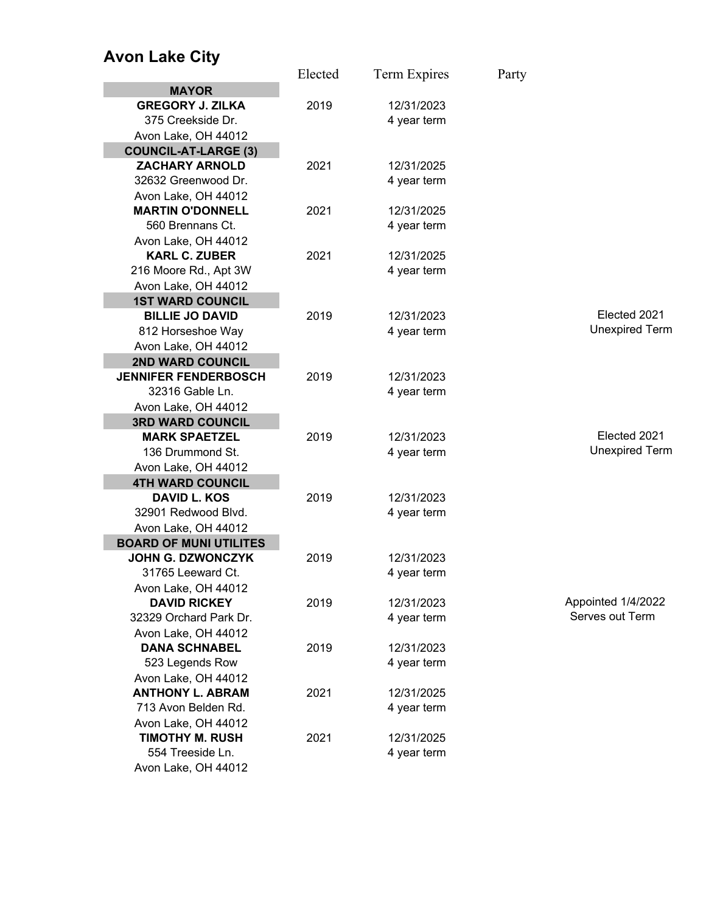#### **Avon Lake City**

| AVON Lake City                |         |              |       |                       |
|-------------------------------|---------|--------------|-------|-----------------------|
|                               | Elected | Term Expires | Party |                       |
| <b>MAYOR</b>                  |         |              |       |                       |
| <b>GREGORY J. ZILKA</b>       | 2019    | 12/31/2023   |       |                       |
| 375 Creekside Dr.             |         | 4 year term  |       |                       |
| Avon Lake, OH 44012           |         |              |       |                       |
| <b>COUNCIL-AT-LARGE (3)</b>   |         |              |       |                       |
| <b>ZACHARY ARNOLD</b>         | 2021    | 12/31/2025   |       |                       |
| 32632 Greenwood Dr.           |         | 4 year term  |       |                       |
| Avon Lake, OH 44012           |         |              |       |                       |
| <b>MARTIN O'DONNELL</b>       | 2021    | 12/31/2025   |       |                       |
| 560 Brennans Ct.              |         | 4 year term  |       |                       |
| Avon Lake, OH 44012           |         |              |       |                       |
| <b>KARL C. ZUBER</b>          | 2021    | 12/31/2025   |       |                       |
| 216 Moore Rd., Apt 3W         |         | 4 year term  |       |                       |
| Avon Lake, OH 44012           |         |              |       |                       |
| <b>1ST WARD COUNCIL</b>       |         |              |       |                       |
| <b>BILLIE JO DAVID</b>        | 2019    | 12/31/2023   |       | Elected 2021          |
| 812 Horseshoe Way             |         | 4 year term  |       | <b>Unexpired Term</b> |
| Avon Lake, OH 44012           |         |              |       |                       |
| <b>2ND WARD COUNCIL</b>       |         |              |       |                       |
| <b>JENNIFER FENDERBOSCH</b>   | 2019    | 12/31/2023   |       |                       |
| 32316 Gable Ln.               |         | 4 year term  |       |                       |
| Avon Lake, OH 44012           |         |              |       |                       |
| <b>3RD WARD COUNCIL</b>       |         |              |       |                       |
| <b>MARK SPAETZEL</b>          | 2019    | 12/31/2023   |       | Elected 2021          |
| 136 Drummond St.              |         | 4 year term  |       | <b>Unexpired Term</b> |
| Avon Lake, OH 44012           |         |              |       |                       |
| <b>4TH WARD COUNCIL</b>       |         |              |       |                       |
| <b>DAVID L. KOS</b>           | 2019    | 12/31/2023   |       |                       |
| 32901 Redwood Blvd.           |         | 4 year term  |       |                       |
| Avon Lake, OH 44012           |         |              |       |                       |
| <b>BOARD OF MUNI UTILITES</b> |         |              |       |                       |
| JOHN G. DZWONCZYK             | 2019    | 12/31/2023   |       |                       |
| 31765 Leeward Ct.             |         | 4 year term  |       |                       |
| Avon Lake, OH 44012           |         |              |       |                       |
| <b>DAVID RICKEY</b>           | 2019    | 12/31/2023   |       | Appointed 1/4/2022    |
| 32329 Orchard Park Dr.        |         | 4 year term  |       | Serves out Term       |
| Avon Lake, OH 44012           |         |              |       |                       |
| <b>DANA SCHNABEL</b>          | 2019    | 12/31/2023   |       |                       |
| 523 Legends Row               |         | 4 year term  |       |                       |
| Avon Lake, OH 44012           |         |              |       |                       |
| <b>ANTHONY L. ABRAM</b>       | 2021    | 12/31/2025   |       |                       |
| 713 Avon Belden Rd.           |         | 4 year term  |       |                       |
| Avon Lake, OH 44012           |         |              |       |                       |
| <b>TIMOTHY M. RUSH</b>        | 2021    | 12/31/2025   |       |                       |
| 554 Treeside Ln.              |         | 4 year term  |       |                       |
| Avon Lake, OH 44012           |         |              |       |                       |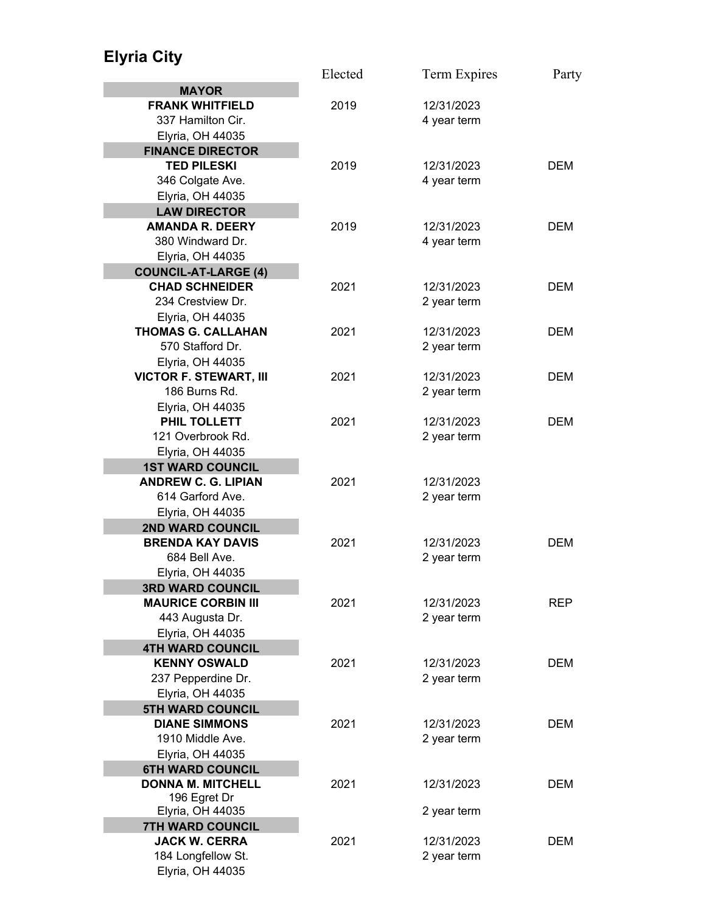## **Elyria City**

|                                                      | Elected | Term Expires | Party      |
|------------------------------------------------------|---------|--------------|------------|
| <b>MAYOR</b>                                         |         |              |            |
| <b>FRANK WHITFIELD</b>                               | 2019    | 12/31/2023   |            |
| 337 Hamilton Cir.                                    |         | 4 year term  |            |
| Elyria, OH 44035                                     |         |              |            |
| <b>FINANCE DIRECTOR</b>                              |         |              |            |
| <b>TED PILESKI</b>                                   | 2019    | 12/31/2023   | <b>DEM</b> |
| 346 Colgate Ave.                                     |         | 4 year term  |            |
| Elyria, OH 44035                                     |         |              |            |
| <b>LAW DIRECTOR</b>                                  |         |              |            |
| <b>AMANDA R. DEERY</b>                               | 2019    | 12/31/2023   | <b>DEM</b> |
| 380 Windward Dr.                                     |         | 4 year term  |            |
| Elyria, OH 44035                                     |         |              |            |
| <b>COUNCIL-AT-LARGE (4)</b>                          |         |              |            |
| <b>CHAD SCHNEIDER</b>                                | 2021    | 12/31/2023   | <b>DEM</b> |
| 234 Crestview Dr.                                    |         | 2 year term  |            |
| Elyria, OH 44035                                     |         |              |            |
| <b>THOMAS G. CALLAHAN</b>                            | 2021    | 12/31/2023   | <b>DEM</b> |
| 570 Stafford Dr.                                     |         | 2 year term  |            |
| Elyria, OH 44035                                     |         |              |            |
| <b>VICTOR F. STEWART, III</b>                        | 2021    | 12/31/2023   | <b>DEM</b> |
| 186 Burns Rd.                                        |         | 2 year term  |            |
| Elyria, OH 44035                                     |         |              |            |
| PHIL TOLLETT                                         | 2021    | 12/31/2023   | <b>DEM</b> |
| 121 Overbrook Rd.                                    |         | 2 year term  |            |
| Elyria, OH 44035                                     |         |              |            |
| <b>1ST WARD COUNCIL</b>                              |         |              |            |
| <b>ANDREW C. G. LIPIAN</b>                           | 2021    | 12/31/2023   |            |
| 614 Garford Ave.                                     |         | 2 year term  |            |
| Elyria, OH 44035                                     |         |              |            |
| 2ND WARD COUNCIL                                     |         |              |            |
| <b>BRENDA KAY DAVIS</b><br>684 Bell Ave.             | 2021    | 12/31/2023   | <b>DEM</b> |
|                                                      |         | 2 year term  |            |
| Elyria, OH 44035                                     |         |              |            |
| <b>3RD WARD COUNCIL</b><br><b>MAURICE CORBIN III</b> | 2021    | 12/31/2023   | <b>REP</b> |
| 443 Augusta Dr.                                      |         | 2 year term  |            |
| Elyria, OH 44035                                     |         |              |            |
| <b>4TH WARD COUNCIL</b>                              |         |              |            |
| <b>KENNY OSWALD</b>                                  | 2021    | 12/31/2023   | <b>DEM</b> |
| 237 Pepperdine Dr.                                   |         | 2 year term  |            |
| Elyria, OH 44035                                     |         |              |            |
| <b>5TH WARD COUNCIL</b>                              |         |              |            |
| <b>DIANE SIMMONS</b>                                 | 2021    | 12/31/2023   | <b>DEM</b> |
| 1910 Middle Ave.                                     |         | 2 year term  |            |
| Elyria, OH 44035                                     |         |              |            |
| <b>6TH WARD COUNCIL</b>                              |         |              |            |
| <b>DONNA M. MITCHELL</b>                             | 2021    | 12/31/2023   | <b>DEM</b> |
| 196 Egret Dr                                         |         |              |            |
| Elyria, OH 44035                                     |         | 2 year term  |            |
| <b>7TH WARD COUNCIL</b>                              |         |              |            |
| <b>JACK W. CERRA</b>                                 | 2021    | 12/31/2023   | DEM        |
| 184 Longfellow St.                                   |         | 2 year term  |            |
| Elyria, OH 44035                                     |         |              |            |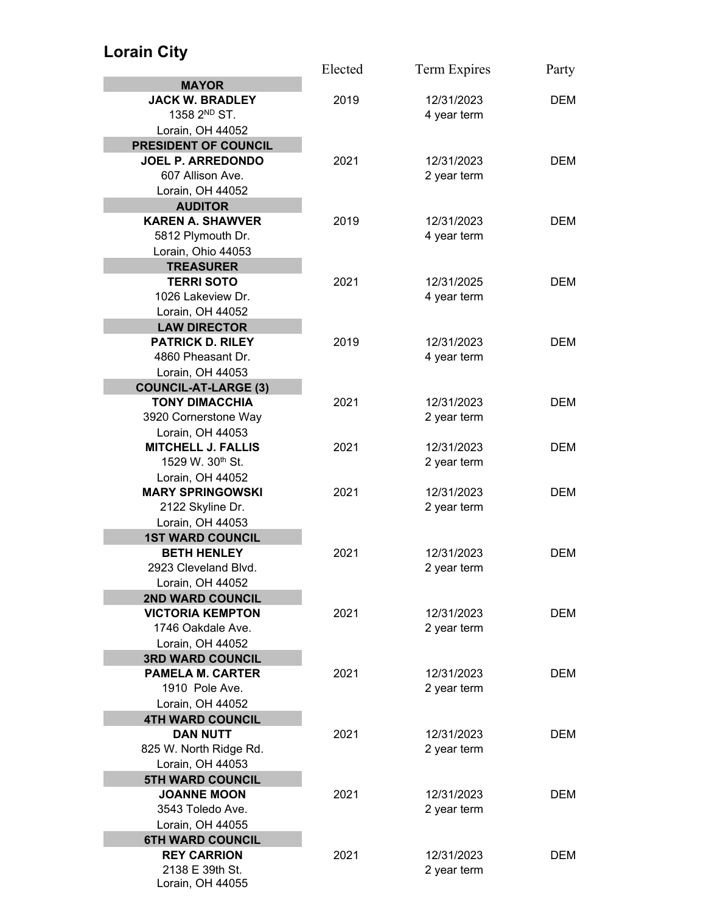## **Lorain City**

|                                                 | Elected | Term Expires | Party      |
|-------------------------------------------------|---------|--------------|------------|
| <b>MAYOR</b>                                    |         |              |            |
| <b>JACK W. BRADLEY</b>                          | 2019    | 12/31/2023   | DEM        |
| 1358 2 <sup>ND</sup> ST.                        |         | 4 year term  |            |
| Lorain, OH 44052                                |         |              |            |
| PRESIDENT OF COUNCIL                            |         |              |            |
| <b>JOEL P. ARREDONDO</b>                        | 2021    | 12/31/2023   | <b>DEM</b> |
| 607 Allison Ave.                                |         | 2 year term  |            |
| Lorain, OH 44052                                |         |              |            |
| <b>AUDITOR</b>                                  |         |              |            |
| <b>KAREN A. SHAWVER</b>                         | 2019    | 12/31/2023   | <b>DEM</b> |
| 5812 Plymouth Dr.                               |         | 4 year term  |            |
| Lorain, Ohio 44053                              |         |              |            |
| <b>TREASURER</b><br><b>TERRI SOTO</b>           | 2021    | 12/31/2025   | <b>DEM</b> |
| 1026 Lakeview Dr.                               |         | 4 year term  |            |
|                                                 |         |              |            |
| Lorain, OH 44052                                |         |              |            |
| <b>LAW DIRECTOR</b><br><b>PATRICK D. RILEY</b>  | 2019    | 12/31/2023   | <b>DEM</b> |
| 4860 Pheasant Dr.                               |         | 4 year term  |            |
|                                                 |         |              |            |
| Lorain, OH 44053<br><b>COUNCIL-AT-LARGE (3)</b> |         |              |            |
| <b>TONY DIMACCHIA</b>                           | 2021    | 12/31/2023   | <b>DEM</b> |
| 3920 Cornerstone Way                            |         | 2 year term  |            |
| Lorain, OH 44053                                |         |              |            |
| <b>MITCHELL J. FALLIS</b>                       | 2021    | 12/31/2023   | <b>DEM</b> |
| 1529 W. 30 <sup>th</sup> St.                    |         | 2 year term  |            |
| Lorain, OH 44052                                |         |              |            |
| <b>MARY SPRINGOWSKI</b>                         | 2021    | 12/31/2023   | <b>DEM</b> |
| 2122 Skyline Dr.                                |         | 2 year term  |            |
| Lorain, OH 44053                                |         |              |            |
| <b>1ST WARD COUNCIL</b>                         |         |              |            |
| <b>BETH HENLEY</b>                              | 2021    | 12/31/2023   | DEM        |
| 2923 Cleveland Blvd.                            |         | 2 year term  |            |
| Lorain, OH 44052                                |         |              |            |
| <b>2ND WARD COUNCIL</b>                         |         |              |            |
| <b>VICTORIA KEMPTON</b>                         | 2021    | 12/31/2023   | DEM        |
| 1746 Oakdale Ave.                               |         | 2 year term  |            |
| Lorain, OH 44052                                |         |              |            |
| <b>3RD WARD COUNCIL</b>                         |         |              |            |
| <b>PAMELA M. CARTER</b>                         | 2021    | 12/31/2023   | DEM        |
| 1910 Pole Ave.                                  |         | 2 year term  |            |
| Lorain, OH 44052                                |         |              |            |
| <b>4TH WARD COUNCIL</b>                         |         |              |            |
| <b>DAN NUTT</b>                                 | 2021    | 12/31/2023   | DEM        |
| 825 W. North Ridge Rd.                          |         | 2 year term  |            |
| Lorain, OH 44053                                |         |              |            |
| <b>5TH WARD COUNCIL</b>                         |         |              |            |
| <b>JOANNE MOON</b>                              | 2021    | 12/31/2023   | <b>DEM</b> |
| 3543 Toledo Ave.                                |         | 2 year term  |            |
| Lorain, OH 44055                                |         |              |            |
| <b>6TH WARD COUNCIL</b>                         |         |              |            |
| <b>REY CARRION</b>                              | 2021    | 12/31/2023   | DEM        |
| 2138 E 39th St.                                 |         | 2 year term  |            |
| Lorain, OH 44055                                |         |              |            |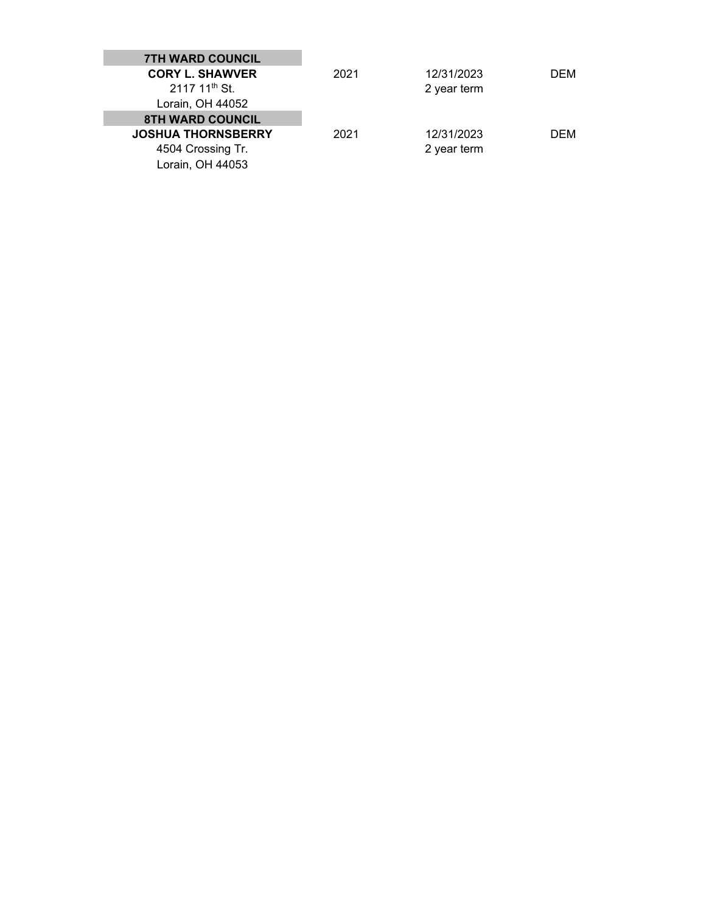| <b>7TH WARD COUNCIL</b>   |      |             |            |
|---------------------------|------|-------------|------------|
| <b>CORY L. SHAWVER</b>    | 2021 | 12/31/2023  | <b>DEM</b> |
| 2117 11 <sup>th</sup> St. |      | 2 year term |            |
| Lorain, OH 44052          |      |             |            |
| <b>8TH WARD COUNCIL</b>   |      |             |            |
| <b>JOSHUA THORNSBERRY</b> | 2021 | 12/31/2023  | DEM        |
| 4504 Crossing Tr.         |      | 2 year term |            |
| Lorain, OH 44053          |      |             |            |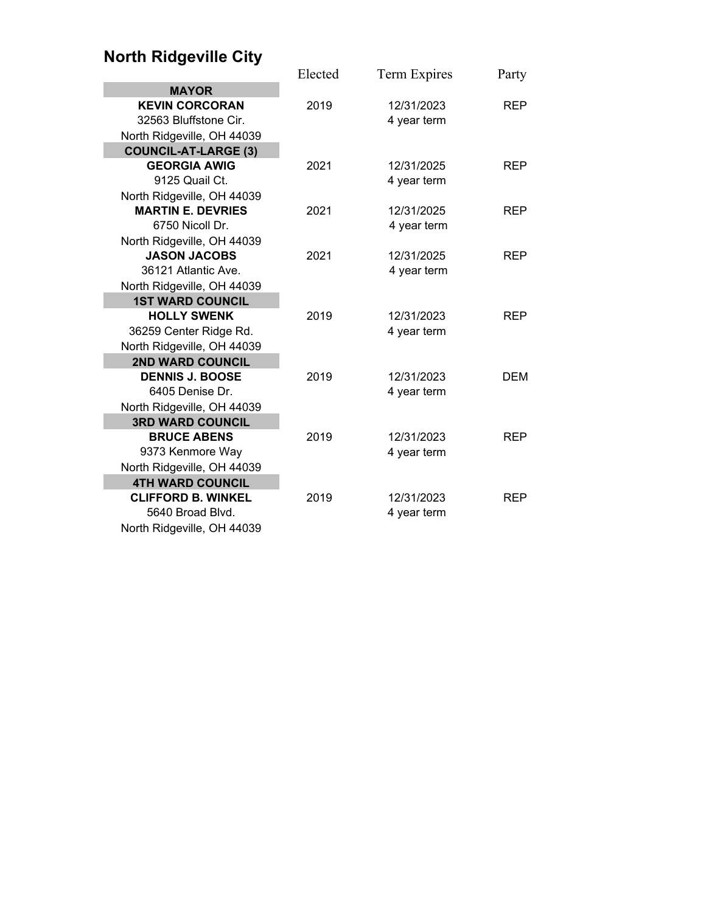## **North Ridgeville City**

|                             | Elected | Term Expires | Party      |
|-----------------------------|---------|--------------|------------|
| <b>MAYOR</b>                |         |              |            |
| <b>KEVIN CORCORAN</b>       | 2019    | 12/31/2023   | <b>REP</b> |
| 32563 Bluffstone Cir.       |         | 4 year term  |            |
| North Ridgeville, OH 44039  |         |              |            |
| <b>COUNCIL-AT-LARGE (3)</b> |         |              |            |
| <b>GEORGIA AWIG</b>         | 2021    | 12/31/2025   | <b>REP</b> |
| 9125 Quail Ct.              |         | 4 year term  |            |
| North Ridgeville, OH 44039  |         |              |            |
| <b>MARTIN E. DEVRIES</b>    | 2021    | 12/31/2025   | <b>REP</b> |
| 6750 Nicoll Dr.             |         | 4 year term  |            |
| North Ridgeville, OH 44039  |         |              |            |
| <b>JASON JACOBS</b>         | 2021    | 12/31/2025   | <b>REP</b> |
| 36121 Atlantic Ave.         |         | 4 year term  |            |
| North Ridgeville, OH 44039  |         |              |            |
| <b>1ST WARD COUNCIL</b>     |         |              |            |
| <b>HOLLY SWENK</b>          | 2019    | 12/31/2023   | <b>REP</b> |
| 36259 Center Ridge Rd.      |         | 4 year term  |            |
| North Ridgeville, OH 44039  |         |              |            |
| <b>2ND WARD COUNCIL</b>     |         |              |            |
| <b>DENNIS J. BOOSE</b>      | 2019    | 12/31/2023   | <b>DEM</b> |
| 6405 Denise Dr.             |         | 4 year term  |            |
| North Ridgeville, OH 44039  |         |              |            |
| <b>3RD WARD COUNCIL</b>     |         |              |            |
| <b>BRUCE ABENS</b>          | 2019    | 12/31/2023   | <b>REP</b> |
| 9373 Kenmore Way            |         | 4 year term  |            |
| North Ridgeville, OH 44039  |         |              |            |
| <b>4TH WARD COUNCIL</b>     |         |              |            |
| <b>CLIFFORD B. WINKEL</b>   | 2019    | 12/31/2023   | <b>REP</b> |
| 5640 Broad Blvd.            |         | 4 year term  |            |
| North Ridgeville, OH 44039  |         |              |            |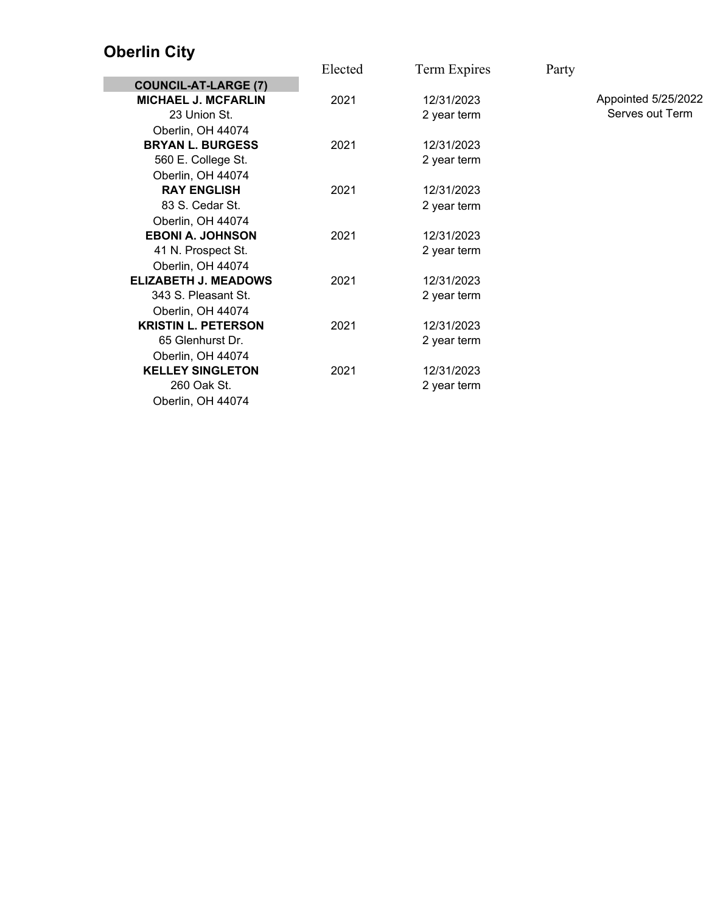# **Oberlin City**

|                             | Elected | Term Expires | Party               |
|-----------------------------|---------|--------------|---------------------|
| <b>COUNCIL-AT-LARGE (7)</b> |         |              |                     |
| <b>MICHAEL J. MCFARLIN</b>  | 2021    | 12/31/2023   | Appointed 5/25/2022 |
| 23 Union St.                |         | 2 year term  | Serves out Term     |
| Oberlin, OH 44074           |         |              |                     |
| <b>BRYAN L. BURGESS</b>     | 2021    | 12/31/2023   |                     |
| 560 E. College St.          |         | 2 year term  |                     |
| Oberlin, OH 44074           |         |              |                     |
| <b>RAY ENGLISH</b>          | 2021    | 12/31/2023   |                     |
| 83 S. Cedar St.             |         | 2 year term  |                     |
| Oberlin, OH 44074           |         |              |                     |
| <b>EBONI A. JOHNSON</b>     | 2021    | 12/31/2023   |                     |
| 41 N. Prospect St.          |         | 2 year term  |                     |
| Oberlin, OH 44074           |         |              |                     |
| <b>ELIZABETH J. MEADOWS</b> | 2021    | 12/31/2023   |                     |
| 343 S. Pleasant St.         |         | 2 year term  |                     |
| Oberlin, OH 44074           |         |              |                     |
| <b>KRISTIN L. PETERSON</b>  | 2021    | 12/31/2023   |                     |
| 65 Glenhurst Dr.            |         | 2 year term  |                     |
| Oberlin, OH 44074           |         |              |                     |
| <b>KELLEY SINGLETON</b>     | 2021    | 12/31/2023   |                     |
| 260 Oak St.                 |         | 2 year term  |                     |
| Oberlin, OH 44074           |         |              |                     |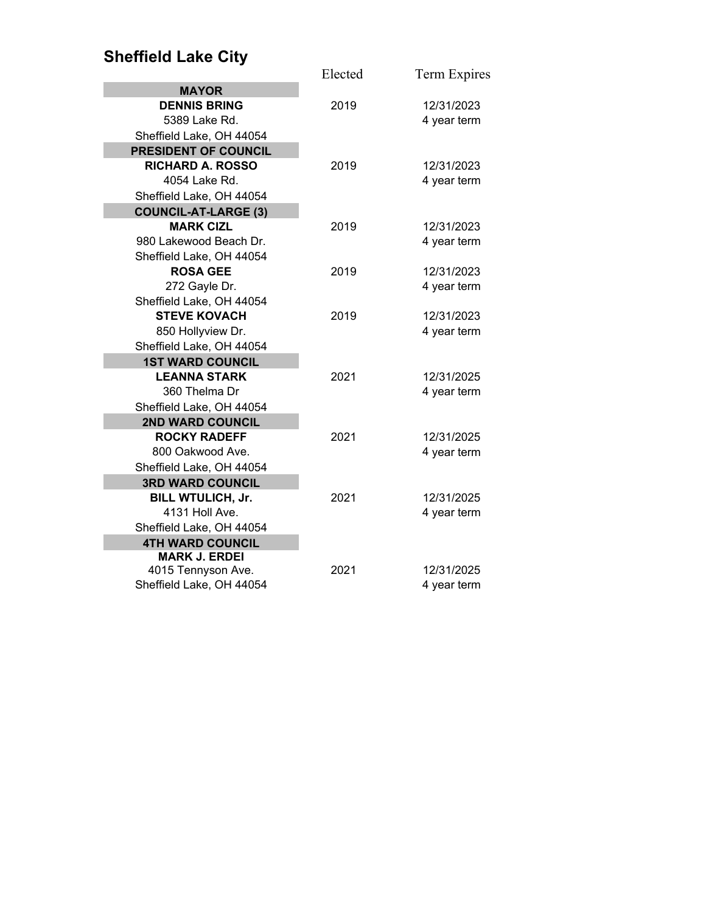#### **Sheffield Lake City**

|                             | Elected | Term Expires |
|-----------------------------|---------|--------------|
| <b>MAYOR</b>                |         |              |
| <b>DENNIS BRING</b>         | 2019    | 12/31/2023   |
| 5389 Lake Rd.               |         | 4 year term  |
| Sheffield Lake, OH 44054    |         |              |
| PRESIDENT OF COUNCIL        |         |              |
| <b>RICHARD A. ROSSO</b>     | 2019    | 12/31/2023   |
| 4054 Lake Rd.               |         | 4 year term  |
| Sheffield Lake, OH 44054    |         |              |
| <b>COUNCIL-AT-LARGE (3)</b> |         |              |
| <b>MARK CIZL</b>            | 2019    | 12/31/2023   |
| 980 Lakewood Beach Dr.      |         | 4 year term  |
| Sheffield Lake, OH 44054    |         |              |
| <b>ROSA GEE</b>             | 2019    | 12/31/2023   |
| 272 Gayle Dr.               |         | 4 year term  |
| Sheffield Lake, OH 44054    |         |              |
| <b>STEVE KOVACH</b>         | 2019    | 12/31/2023   |
| 850 Hollyview Dr.           |         | 4 year term  |
| Sheffield Lake, OH 44054    |         |              |
| <b>1ST WARD COUNCIL</b>     |         |              |
| <b>LEANNA STARK</b>         | 2021    | 12/31/2025   |
| 360 Thelma Dr               |         | 4 year term  |
| Sheffield Lake, OH 44054    |         |              |
| <b>2ND WARD COUNCIL</b>     |         |              |
| <b>ROCKY RADEFF</b>         | 2021    | 12/31/2025   |
| 800 Oakwood Ave.            |         | 4 year term  |
| Sheffield Lake, OH 44054    |         |              |
| <b>3RD WARD COUNCIL</b>     |         |              |
| <b>BILL WTULICH, Jr.</b>    | 2021    | 12/31/2025   |
| 4131 Holl Ave.              |         | 4 year term  |
| Sheffield Lake, OH 44054    |         |              |
| <b>4TH WARD COUNCIL</b>     |         |              |
| <b>MARK J. ERDEI</b>        |         |              |
| 4015 Tennyson Ave.          | 2021    | 12/31/2025   |
| Sheffield Lake, OH 44054    |         | 4 year term  |